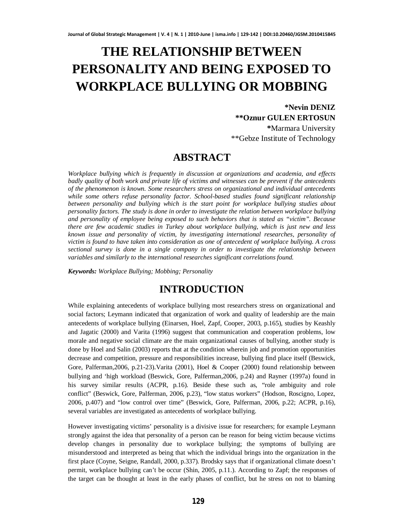# **THE RELATIONSHIP BETWEEN PERSONALITY AND BEING EXPOSED TO WORKPLACE BULLYING OR MOBBING**

### **\*Nevin DENIZ \*\*Oznur GULEN ERTOSUN \***Marmara University

\*\*Gebze Institute of Technology

### **ABSTRACT**

*Workplace bullying which is frequently in discussion at organizations and academia, and effects badly quality of both work and private life of victims and witnesses can be prevent if the antecedents of the phenomenon is known. Some researchers stress on organizational and individual antecedents while some others refuse personality factor. School-based studies found significant relationship between personality and bullying which is the start point for workplace bullying studies about personality factors. The study is done in order to investigate the relation between workplace bullying and personality of employee being exposed to such behaviors that is stated as "victim". Because there are few academic studies in Turkey about workplace bullying, which is just new and less known issue and personality of victim, by investigating international researches, personality of victim is found to have taken into consideration as one of antecedent of workplace bullying. A cross sectional survey is done in a single company in order to investigate the relationship between variables and similarly to the international researches significant correlations found.*

*Keywords: Workplace Bullying; Mobbing; Personality*

## **INTRODUCTION**

While explaining antecedents of workplace bullying most researchers stress on organizational and social factors; Leymann indicated that organization of work and quality of leadership are the main antecedents of workplace bullying (Einarsen, Hoel, Zapf, Cooper, 2003, p.165), studies by Keashly and Jagatic (2000) and Varita (1996) suggest that communication and cooperation problems, low morale and negative social climate are the main organizational causes of bullying, another study is done by Hoel and Salin (2003) reports that at the condition wherein job and promotion opportunities decrease and competition, pressure and responsibilities increase, bullying find place itself (Beswick, Gore, Palferman, 2006, p.21-23). Varita (2001), Hoel & Cooper (2000) found relationship between bullying and 'high workload (Beswick, Gore, Palferman,2006, p.24) and Rayner (1997a) found in his survey similar results (ACPR, p.16). Beside these such as, "role ambiguity and role conflict" (Beswick, Gore, Palferman, 2006, p.23), "low status workers" (Hodson, Roscigno, Lopez, 2006, p.407) and "low control over time" (Beswick, Gore, Palferman, 2006, p.22; ACPR, p.16), several variables are investigated as antecedents of workplace bullying.

However investigating victims' personality is a divisive issue for researchers; for example Leymann strongly against the idea that personality of a person can be reason for being victim because victims develop changes in personality due to workplace bullying; the symptoms of bullying are misunderstood and interpreted as being that which the individual brings into the organization in the first place (Coyne, Seigne, Randall, 2000, p.337). Brodsky says that if organizational climate doesn't permit, workplace bullying can't be occur (Shin, 2005, p.11.). According to Zapf; the responses of the target can be thought at least in the early phases of conflict, but he stress on not to blaming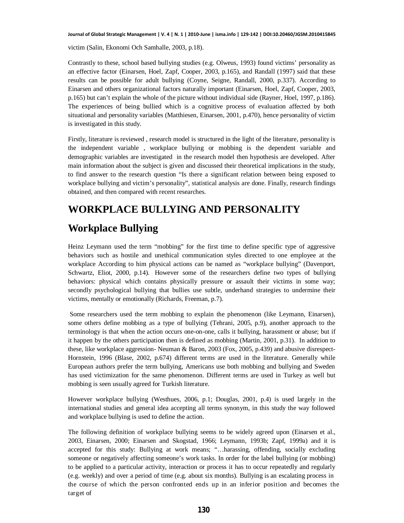victim (Salin, Ekonomi Och Samhalle, 2003, p.18).

Contrastly to these, school based bullying studies (e.g. Olweus, 1993) found victims' personality as an effective factor (Einarsen, Hoel, Zapf, Cooper, 2003, p.165), and Randall (1997) said that these results can be possible for adult bullying (Coyne, Seigne, Randall, 2000, p.337). According to Einarsen and others organizational factors naturally important (Einarsen, Hoel, Zapf, Cooper, 2003, p.165) but can't explain the whole of the picture without individual side (Rayner, Hoel, 1997, p.186). The experiences of being bullied which is a cognitive process of evaluation affected by both situational and personality variables (Matthiesen, Einarsen, 2001, p.470), hence personality of victim is investigated in this study.

Firstly, literature is reviewed , research model is structured in the light of the literature, personality is the independent variable , workplace bullying or mobbing is the dependent variable and demographic variables are investigated in the research model then hypothesis are developed. After main information about the subject is given and discussed their theoretical implications in the study, to find answer to the research question "Is there a significant relation between being exposed to workplace bullying and victim's personality", statistical analysis are done. Finally, research findings obtained, and then compared with recent researches.

# **WORKPLACE BULLYING AND PERSONALITY Workplace Bullying**

Heinz Leymann used the term "mobbing" for the first time to define specific type of aggressive behaviors such as hostile and unethical communication styles directed to one employee at the workplace According to him physical actions can be named as "workplace bullying" (Davenport, Schwartz, Eliot, 2000, p.14). However some of the researchers define two types of bullying behaviors: physical which contains physically pressure or assault their victims in some way; secondly psychological bullying that bullies use subtle, underhand strategies to undermine their victims, mentally or emotionally (Richards, Freeman, p.7).

Some researchers used the term mobbing to explain the phenomenon (like Leymann, Einarsen), some others define mobbing as a type of bullying (Tehrani, 2005, p.9), another approach to the terminology is that when the action occurs one-on-one, calls it bullying, harassment or abuse; but if it happen by the others participation then is defined as mobbing (Martin, 2001, p.31). In addition to these, like workplace aggression- Neuman & Baron, 2003 (Fox, 2005, p.439) and abusive disrespect-Hornstein, 1996 (Blase, 2002, p.674) different terms are used in the literature. Generally while European authors prefer the term bullying, Americans use both mobbing and bullying and Sweden has used victimization for the same phenomenon. Different terms are used in Turkey as well but mobbing is seen usually agreed for Turkish literature.

However workplace bullying (Westhues, 2006, p.1; Douglas, 2001, p.4) is used largely in the international studies and general idea accepting all terms synonym, in this study the way followed and workplace bullying is used to define the action.

The following definition of workplace bullying seems to be widely agreed upon (Einarsen et al., 2003, Einarsen, 2000; Einarsen and Skogstad, 1966; Leymann, 1993b; Zapf, 1999a) and it is accepted for this study: Bullying at work means; "…harassing, offending, socially excluding someone or negatively affecting someone's work tasks. In order for the label bullying (or mobbing) to be applied to a particular activity, interaction or process it has to occur repeatedly and regularly (e.g. weekly) and over a period of time (e.g. about six months). Bullying is an escalating process in the course of which the person confronted ends up in an inferior position and becomes the target of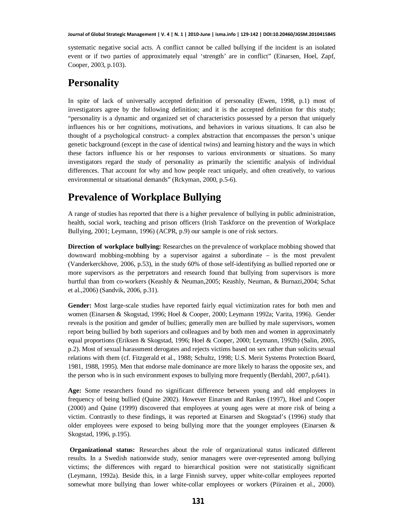systematic negative social acts. A conflict cannot be called bullying if the incident is an isolated event or if two parties of approximately equal 'strength' are in conflict" (Einarsen, Hoel, Zapf, Cooper, 2003, p.103).

## **Personality**

In spite of lack of universally accepted definition of personality (Ewen, 1998, p.1) most of investigators agree by the following definition; and it is the accepted definition for this study; "personality is a dynamic and organized set of characteristics possessed by a person that uniquely influences his or her cognitions, motivations, and behaviors in various situations. It can also be thought of a psychological construct- a complex abstraction that encompasses the person's unique genetic background (except in the case of identical twins) and learning history and the ways in which these factors influence his or her responses to various environments or situations. So many investigators regard the study of personality as primarily the scientific analysis of individual differences. That account for why and how people react uniquely, and often creatively, to various environmental or situational demands" (Rckyman, 2000, p.5-6).

## **Prevalence of Workplace Bullying**

A range of studies has reported that there is a higher prevalence of bullying in public administration, health, social work, teaching and prison officers (Irish Taskforce on the prevention of Workplace Bullying, 2001; Leymann, 1996) (ACPR, p.9) our sample is one of risk sectors.

**Direction of workplace bullying:** Researches on the prevalence of workplace mobbing showed that downward mobbing-mobbing by a supervisor against a subordinate – is the most prevalent (Vanderkerckhove, 2006, p.53), in the study 60% of those self-identifying as bullied reported one or more supervisors as the perpetrators and research found that bullying from supervisors is more hurtful than from co-workers (Keashly & Neuman,2005; Keashly, Neuman, & Burnazi,2004; Schat et al.,2006) (Sandvik, 2006, p.31).

**Gender:** Most large-scale studies have reported fairly equal victimization rates for both men and women (Einarsen & Skogstad, 1996; Hoel & Cooper, 2000; Leymann 1992a; Varita, 1996). Gender reveals is the position and gender of bullies; generally men are bullied by male supervisors, women report being bullied by both superiors and colleagues and by both men and women in approximately equal proportions (Eriksen & Skogstad, 1996; Hoel & Cooper, 2000; Leymann, 1992b) (Salin, 2005, p.2). Most of sexual harassment derogates and rejects victims based on sex rather than solicits sexual relations with them (cf. Fitzgerald et al., 1988; Schultz, 1998; U.S. Merit Systems Protection Board, 1981, 1988, 1995). Men that endorse male dominance are more likely to harass the opposite sex, and the person who is in such environment exposes to bullying more frequently (Berdahl, 2007, p.641).

**Age:** Some researchers found no significant difference between young and old employees in frequency of being bullied (Quine 2002). However Einarsen and Rankes (1997), Hoel and Cooper (2000) and Quine (1999) discovered that employees at young ages were at more risk of being a victim. Contrastly to these findings, it was reported at Einarsen and Skogstad's (1996) study that older employees were exposed to being bullying more that the younger employees (Einarsen & Skogstad, 1996, p.195).

 **Organizational status:** Researches about the role of organizational status indicated different results. In a Swedish nationwide study, senior managers were over-represented among bullying victims; the differences with regard to hierarchical position were not statistically significant (Leymann, 1992a). Beside this, in a large Finnish survey, upper white-collar employees reported somewhat more bullying than lower white-collar employees or workers (Piirainen et al., 2000).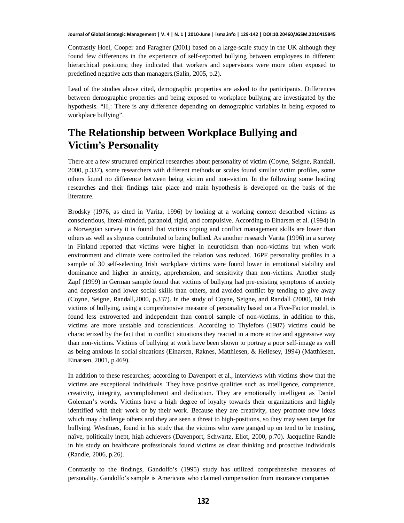Contrastly Hoel, Cooper and Faragher (2001) based on a large-scale study in the UK although they found few differences in the experience of self-reported bullying between employees in different hierarchical positions; they indicated that workers and supervisors were more often exposed to predefined negative acts than managers.(Salin, 2005, p.2).

Lead of the studies above cited, demographic properties are asked to the participants. Differences between demographic properties and being exposed to workplace bullying are investigated by the hypothesis. "H<sub>1</sub>: There is any difference depending on demographic variables in being exposed to workplace bullying".

### **The Relationship between Workplace Bullying and Victim's Personality**

There are a few structured empirical researches about personality of victim (Coyne, Seigne, Randall, 2000, p.337), some researchers with different methods or scales found similar victim profiles, some others found no difference between being victim and non-victim. In the following some leading researches and their findings take place and main hypothesis is developed on the basis of the literature.

Brodsky (1976, as cited in Varita, 1996) by looking at a working context described victims as conscientious, literal-minded, paranoid, rigid, and compulsive. According to Einarsen et al. (1994) in a Norwegian survey it is found that victims coping and conflict management skills are lower than others as well as shyness contributed to being bullied. As another research Varita (1996) in a survey in Finland reported that victims were higher in neuroticism than non-victims but when work environment and climate were controlled the relation was reduced. 16PF personality profiles in a sample of 30 self-selecting Irish workplace victims were found lower in emotional stability and dominance and higher in anxiety, apprehension, and sensitivity than non-victims. Another study Zapf (1999) in German sample found that victims of bullying had pre-existing symptoms of anxiety and depression and lower social skills than others, and avoided conflict by tending to give away (Coyne, Seigne, Randall,2000, p.337). In the study of Coyne, Seigne, and Randall (2000), 60 Irish victims of bullying, using a comprehensive measure of personality based on a Five-Factor model, is found less extroverted and independent than control sample of non-victims, in addition to this, victims are more unstable and conscientious. According to Thylefors (1987) victims could be characterized by the fact that in conflict situations they reacted in a more active and aggressive way than non-victims. Victims of bullying at work have been shown to portray a poor self-image as well as being anxious in social situations (Einarsen, Raknes, Matthiesen, & Hellesey, 1994) (Matthiesen, Einarsen, 2001, p.469).

In addition to these researches; according to Davenport et al., interviews with victims show that the victims are exceptional individuals. They have positive qualities such as intelligence, competence, creativity, integrity, accomplishment and dedication. They are emotionally intelligent as Daniel Goleman's words. Victims have a high degree of loyalty towards their organizations and highly identified with their work or by their work. Because they are creativity, they promote new ideas which may challenge others and they are seen a threat to high-positions, so they may seen target for bullying. Westhues, found in his study that the victims who were ganged up on tend to be trusting, naïve, politically inept, high achievers (Davenport, Schwartz, Eliot, 2000, p.70). Jacqueline Randle in his study on healthcare professionals found victims as clear thinking and proactive individuals (Randle, 2006, p.26).

Contrastly to the findings, Gandolfo's (1995) study has utilized comprehensive measures of personality. Gandolfo's sample is Americans who claimed compensation from insurance companies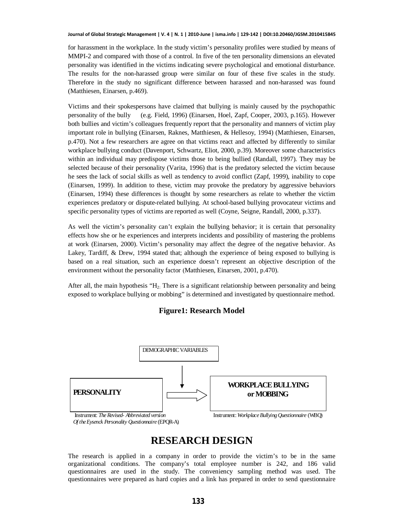for harassment in the workplace. In the study victim's personality profiles were studied by means of MMPI-2 and compared with those of a control. In five of the ten personality dimensions an elevated personality was identified in the victims indicating severe psychological and emotional disturbance. The results for the non-harassed group were similar on four of these five scales in the study. Therefore in the study no significant difference between harassed and non-harassed was found (Matthiesen, Einarsen, p.469).

Victims and their spokespersons have claimed that bullying is mainly caused by the psychopathic personality of the bully (e.g. Field, 1996) (Einarsen, Hoel, Zapf, Cooper, 2003, p.165). However both bullies and victim's colleagues frequently report that the personality and manners of victim play important role in bullying (Einarsen, Raknes, Matthiesen, & Hellesoy, 1994) (Matthiesen, Einarsen, p.470). Not a few researchers are agree on that victims react and affected by differently to similar workplace bullying conduct (Davenport, Schwartz, Eliot, 2000, p.39). Moreover some characteristics within an individual may predispose victims those to being bullied (Randall, 1997). They may be selected because of their personality (Varita, 1996) that is the predatory selected the victim because he sees the lack of social skills as well as tendency to avoid conflict (Zapf, 1999), inability to cope (Einarsen, 1999). In addition to these, victim may provoke the predatory by aggressive behaviors (Einarsen, 1994) these differences is thought by some researchers as relate to whether the victim experiences predatory or dispute-related bullying. At school-based bullying provocateur victims and specific personality types of victims are reported as well (Coyne, Seigne, Randall, 2000, p.337).

As well the victim's personality can't explain the bullying behavior; it is certain that personality effects how she or he experiences and interprets incidents and possibility of mastering the problems at work (Einarsen, 2000). Victim's personality may affect the degree of the negative behavior. As Lakey, Tardiff, & Drew, 1994 stated that; although the experience of being exposed to bullying is based on a real situation, such an experience doesn't represent an objective description of the environment without the personality factor (Matthiesen, Einarsen, 2001, p.470).

After all, the main hypothesis " $H_2$ . There is a significant relationship between personality and being exposed to workplace bullying or mobbing" is determined and investigated by questionnaire method.

#### **Figure1: Research Model**



### **RESEARCH DESIGN**

The research is applied in a company in order to provide the victim's to be in the same organizational conditions. The company's total employee number is 242, and 186 valid questionnaires are used in the study. The conveniency sampling method was used. The questionnaires were prepared as hard copies and a link has prepared in order to send questionnaire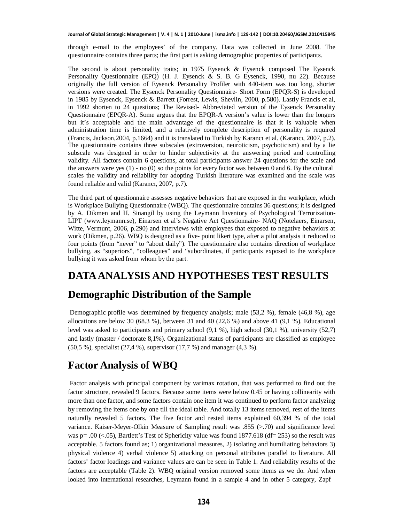through e-mail to the employees' of the company. Data was collected in June 2008. The questionnaire contains three parts; the first part is asking demographic properties of participants.

The second is about personality traits; in 1975 Eysenck & Eysenck composed The Eysenck Personality Questionnaire (EPQ) (H. J. Eysenck & S. B. G Eysenck, 1990, nu 22). Because originally the full version of Eysenck Personality Profiler with 440-item was too long, shorter versions were created. The Eysenck Personality Questionnaire- Short Form (EPQR-S) is developed in 1985 by Eysenck, Eysenck & Barrett (Forrest, Lewis, Shevlin, 2000, p.580). Lastly Francis et al, in 1992 shorten to 24 questions; The Revised- Abbreviated version of the Eysenck Personality Questionnaire (EPQR-A). Some argues that the EPQR-A version's value is lower than the longers but it's acceptable and the main advantage of the questionnaire is that it is valuable when administration time is limited, and a relatively complete description of personality is required (Francis, Jackson, 2004, p.1664) and it is translated to Turkish by Karancı et al. (Karancı, 2007, p.2). The questionnaire contains three subscales (extroversion, neuroticism, psychoticism) and by a lie subscale was designed in order to hinder subjectivity at the answering period and controlling validity. All factors contain 6 questions, at total participants answer 24 questions for the scale and the answers were yes  $(1)$  - no  $(0)$  so the points for every factor was between 0 and 6. By the cultural scales the validity and reliability for adopting Turkish literature was examined and the scale was found reliable and valid (Karancı, 2007, p.7).

The third part of questionnaire assesses negative behaviors that are exposed in the workplace, which is Workplace Bullying Questionnaire (WBQ). The questionnaire contains 36 questions; it is designed by A. Dikmen and H. Sinangil by using the Leymann Inventory of Psychological Terrorization-LIPT ([www.leymann.se](http://www.leymann.se/)), Einarsen et al's Negative Act Questionnaire- NAQ (Notelaers, Einarsen, Witte, Vermunt, 2006, p.290) and interviews with employees that exposed to negative behaviors at work (Dikmen, p.26). WBQ is designed as a five- point likert type, after a pilot analysis it reduced to four points (from "never" to "about daily"). The questionnaire also contains direction of workplace bullying, as "superiors", "colleagues" and "subordinates, if participants exposed to the workplace bullying it was asked from whom by the part.

### **DATA ANALYSIS AND HYPOTHESES TEST RESULTS**

### **Demographic Distribution of the Sample**

Demographic profile was determined by frequency analysis; male (53,2 %), female (46,8 %), age allocations are below 30 (68.3 %), between 31 and 40 (22.6 %) and above 41 (9.1 %). Educational level was asked to participants and primary school (9,1 %), high school (30,1 %), university (52,7) and lastly (master / doctorate 8,1%). Organizational status of participants are classified as employee (50,5 %), specialist (27,4 %), supervisor (17,7 %) and manager (4,3 %).

## **Factor Analysis of WBQ**

Factor analysis with principal component by varimax rotation, that was performed to find out the factor structure, revealed 9 factors. Because some items were below 0.45 or having collinearity with more than one factor, and some factors contain one item it was continued to perform factor analyzing by removing the items one by one till the ideal table. And totally 13 items removed, rest of the items naturally revealed 5 factors. The five factor and rested items explained 60,394 % of the total variance. Kaiser-Meyer-Olkin Measure of Sampling result was .855 (>.70) and significance level was p= .00 (<.05), Bartlett's Test of Sphericity value was found 1877.618 (df= 253) so the result was acceptable. 5 factors found as; 1) organizational measures, 2) isolating and humiliating behaviors 3) physical violence 4) verbal violence 5) attacking on personal attributes parallel to literature. All factors' factor loadings and variance values are can be seen in Table 1. And reliability results of the factors are acceptable (Table 2). WBQ original version removed some items as we do. And when looked into international researches, Leymann found in a sample 4 and in other 5 category, Zapf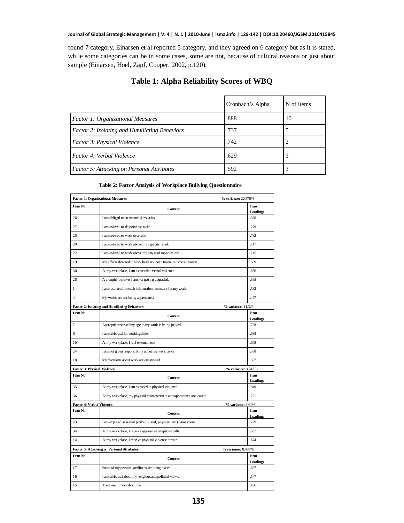found 7 category, Einarsen et al reported 5 category, and they agreed on 6 category but as it is stated, while some categories can be in some cases, some are not, because of cultural reasons or just about sample (Einarsen, Hoel, Zapf, Cooper, 2002, p.120).

|                                               | Cronbach's Alpha | N of Items |
|-----------------------------------------------|------------------|------------|
| <b>Factor 1: Organizational Measures</b>      | .888             | 10         |
| Factor 2: Isolating and Humiliating Behaviors | .737             |            |
| <b>Factor 3: Physical Violence</b>            | .742             |            |
| Factor 4: Verbal Violence                     | .629             |            |
| Factor 5: Attacking on Personal Attributes    | .592             |            |

### **Table 1: Alpha Reliability Scores of WBQ**

#### **Table 2: Factor Analysis of Workplace Bullying Questionnaire**

| <b>Item No</b>                      |                                                                         | Item                |
|-------------------------------------|-------------------------------------------------------------------------|---------------------|
|                                     | Content                                                                 | Loadings            |
| 26                                  | I am obliged to do meaningless tasks.                                   | 820                 |
| 27                                  | I am ordered to do pointless tasks.                                     | .779                |
| 25                                  | I am ordered to work overtime.                                          | 732                 |
| 29                                  | I am ordered to work above my capacity level.                           | .717                |
| 22                                  | I am ordered to work above my physical capacity level.                  | .715                |
| 19                                  | My efforts directed to work have not been taken into consideration.     | .689                |
| 30                                  | At my workplace, I am exposed to verbal violence.                       | .656                |
| 28                                  | Although I deserve, I am not getting upgraded.                          | 535                 |
| $\mathbf{1}$                        | I am restricted to reach information necessary for my work.             | 532                 |
| $\overline{4}$                      | My works are not being appreciated.                                     | 467                 |
|                                     | Factor 2: Isolating and Humiliating Behaviors:                          | % variance: 11,325  |
| <b>Item No</b>                      | Content                                                                 | Item                |
|                                     |                                                                         | Loadings            |
| $\overline{7}$                      | Appropriateness of my age to my work is being judged.                   | .738                |
| 6                                   | I am criticized for working little.                                     | .638                |
| 10                                  | At my workplace, I feel externalized.                                   | .608                |
| 24                                  | I am not given responsibility about my work tasks.                      | 588                 |
| 18                                  | My decisions about work are questioned.                                 | 507                 |
| <b>Factor 3: Physical Violence:</b> |                                                                         | % variance: 9,242 % |
| <b>Item No</b>                      | Content                                                                 | Item<br>Loadings    |
| 35                                  | At my workplace, I am exposed to physical violence.                     | 849                 |
| 36                                  | At my workplace, my physical characteristics and appearance are teased. | .731                |
| <b>Factor 4: Verbal Violence:</b>   |                                                                         | % variance: 8,61%   |
| I tem No                            | Content                                                                 | Item                |
|                                     |                                                                         | Loadings            |
| 23                                  | I am exposed to sexual (verbal, visual, physical, etc.) harassment.     | .729                |
| 34                                  | At my workplace, I receive aggressive telephone calls.                  | .687                |
| 14                                  | At my workplace, I receive physical violence threats.                   | .674                |
|                                     | Factor 5: Attacking on Personal Attributes:                             | % variance: 8,488%  |
| <b>Item No</b>                      | Content                                                                 | Item                |
| 17                                  | Some of my personal attributes are being teased.                        | Loadings<br>.607    |
|                                     | I am critici zed about my religious and political views.                | 547                 |
| 16                                  |                                                                         |                     |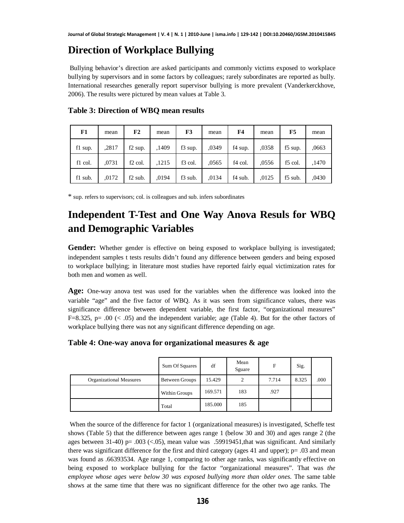### **Direction of Workplace Bullying**

 Bullying behavior's direction are asked participants and commonly victims exposed to workplace bullying by supervisors and in some factors by colleagues; rarely subordinates are reported as bully. International researches generally report supervisor bullying is more prevalent (Vanderkerckhove, 2006). The results were pictured by mean values at Table 3.

| F1      | mean  | F2                  | mean  | F <sub>3</sub> | mean  | F4      | mean  | F5        | mean  |
|---------|-------|---------------------|-------|----------------|-------|---------|-------|-----------|-------|
| f1 sup. | ,2817 | $f2$ sup.           | ,1409 | f3 sup.        | ,0349 | f4 sup. | ,0358 | f5 sup.   | ,0663 |
| f1 col. | .0731 | f <sub>2</sub> col. | ,1215 | f3 col.        | .0565 | f4 col. | .0556 | f5 col.   | ,1470 |
| f1 sub. | .0172 | $f2$ sub.           | ,0194 | f3 sub.        | ,0134 | f4 sub. | ,0125 | $f5$ sub. | ,0430 |

**Table 3: Direction of WBQ mean results**

\* sup. refers to supervisors; col. is colleagues and sub. infers subordinates

## **Independent T-Test and One Way Anova Resuls for WBQ and Demographic Variables**

Gender: Whether gender is effective on being exposed to workplace bullying is investigated; independent samples t tests results didn't found any difference between genders and being exposed to workplace bullying; in literature most studies have reported fairly equal victimization rates for both men and women as well.

**Age:** One-way anova test was used for the variables when the difference was looked into the variable "age" and the five factor of WBQ. As it was seen from significance values, there was significance difference between dependent variable, the first factor, "organizational measures" F=8.325, p= .00  $\left(\right. < .05\right)$  and the independent variable; age (Table 4). But for the other factors of workplace bullying there was not any significant difference depending on age.

#### **Table 4: One-way anova for organizational measures & age**

|                                | Sum Of Squares | df      | Mean<br>Sguare | F     | Sig.  |      |
|--------------------------------|----------------|---------|----------------|-------|-------|------|
| <b>Organizational Measures</b> | Between Groups | 15.429  | 2              | 7.714 | 8.325 | .000 |
|                                | Within Groups  | 169.571 | 183            | .927  |       |      |
|                                | Total          | 185.000 | 185            |       |       |      |

When the source of the difference for factor 1 (organizational measures) is investigated, Scheffe test shows (Table 5) that the difference between ages range 1 (below 30 and 30) and ages range 2 (the ages between  $31-40$  p=  $.003$  (<.05), mean value was .59919451, that was significant. And similarly there was significant difference for the first and third category (ages 41 and upper);  $p = .03$  and mean was found as .66393534. Age range 1, comparing to other age ranks, was significantly effective on being exposed to workplace bullying for the factor "organizational measures". That was *the employee whose ages were below 30 was exposed bullying more than older ones*. The same table shows at the same time that there was no significant difference for the other two age ranks. The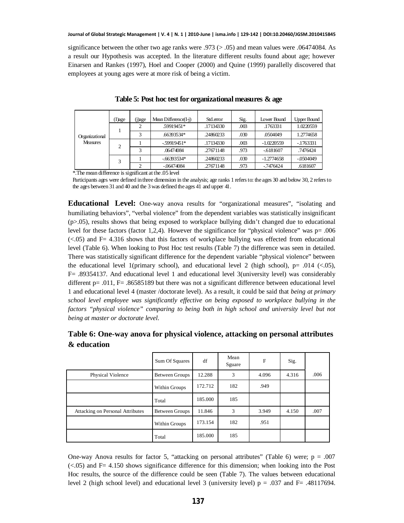significance between the other two age ranks were .973 ( $> .05$ ) and mean values were .06474084. As a result our Hypothesis was accepted. In the literature different results found about age; however Einarsen and Rankes (1997), Hoel and Cooper (2000) and Quine (1999) parallelly discovered that employees at young ages were at more risk of being a victim.

| Organizational<br><b>Measures</b> | (I)age              | j)age | Mean Difference $(I-i)$ | Std.error | Sig. | Lower Bound  | <b>Upper Bound</b> |
|-----------------------------------|---------------------|-------|-------------------------|-----------|------|--------------|--------------------|
|                                   |                     |       | .59919451*              | .17134330 | .003 | .1763331     | 1.0220559          |
|                                   |                     | 3     | .66393534*              | .24860233 | .030 | .0504049     | 1.2774658          |
|                                   | $\overline{c}$<br>3 |       | $-59919451*$            | .17134330 | .003 | $-1.0220559$ | $-1763331$         |
|                                   |                     | 3     | .06474084               | .27671148 | .973 | $-6181607$   | .7476424           |
|                                   |                     |       | $-66393534*$            | .24860233 | .030 | $-1.2774658$ | $-0.504049$        |
|                                   |                     |       | $-06474084$             | .27671148 | .973 | $-7476424$   | .6181607           |

#### **Table 5: Post hoc test for organizational measures & age**

\*.The mean difference is significant at the .05 level

Participants ages were defined in three dimension in the analysis; age ranks 1 refers to: the ages 30 and below 30, 2 refers to the ages between 31 and 40 and the 3 was defined the ages 41 and upper 41.

**Educational Level:** One-way anova results for "organizational measures", "isolating and humiliating behaviors", "verbal violence" from the dependent variables was statistically insignificant (p>.05), results shows that being exposed to workplace bullying didn't changed due to educational level for these factors (factor 1,2,4). However the significance for "physical violence" was  $p = .006$  $\langle$  <.05) and F= 4.316 shows that this factors of workplace bullying was effected from educational level (Table 6). When looking to Post Hoc test results (Table 7) the difference was seen in detailed. There was statistically significant difference for the dependent variable "physical violence" between the educational level 1(primary school), and educational level 2 (high school),  $p=$  .014 (<.05), F= .89354137. And educational level 1 and educational level 3(university level) was considerably different p= .011, F= .86585189 but there was not a significant difference between educational level 1 and educational level 4 (master /doctorate level). As a result, it could be said that *being at primary school level employee was significantly effective on being exposed to workplace bullying in the factors "physical violence" comparing to being both in high school and university level but not being at master or doctorate level*.

|                                  | Sum Of Squares | df      | Mean<br>Sguare | F     | Sig.  |      |
|----------------------------------|----------------|---------|----------------|-------|-------|------|
| Physical Violence                | Between Groups | 12.288  | 3              | 4.096 | 4.316 | .006 |
|                                  | Within Groups  | 172.712 | 182            | .949  |       |      |
|                                  | Total          | 185.000 | 185            |       |       |      |
| Attacking on Personal Attributes | Between Groups | 11.846  | 3              | 3.949 | 4.150 | .007 |
|                                  | Within Groups  | 173.154 | 182            | .951  |       |      |
|                                  | Total          | 185.000 | 185            |       |       |      |

### **Table 6: One-way anova for physical violence, attacking on personal attributes & education**

One-way Anova results for factor 5, "attacking on personal attributes" (Table 6) were;  $p = .007$  $(<.05$ ) and F= 4.150 shows significance difference for this dimension; when looking into the Post Hoc results, the source of the difference could be seen (Table 7). The values between educational level 2 (high school level) and educational level 3 (university level)  $p = .037$  and  $F = .48117694$ .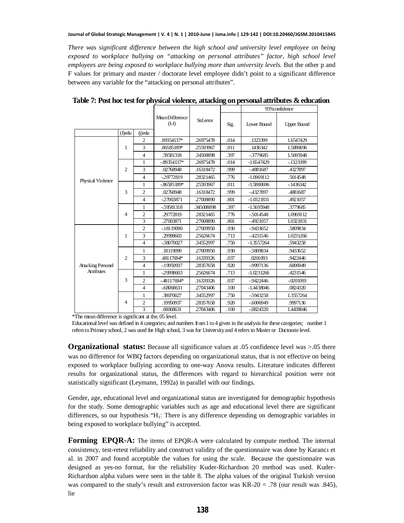*There was significant difference between the high school and university level employee on being exposed to workplace bullying on "attacking on personal attributes" factor, high school level employees are being exposed to workplace bullying more than university levels.* But the other p and F values for primary and master / doctorate level employee didn't point to a significant difference between any variable for the "attacking on personal attributes".

|                           |                |                |                            |            |      | 95%confidence |                    |  |
|---------------------------|----------------|----------------|----------------------------|------------|------|---------------|--------------------|--|
|                           | (Dedu          | $(i)$ edu      | Mean Difference<br>$(I-J)$ | Std.error  | Sig. | Lower Bound   | <b>Upper Bound</b> |  |
|                           |                | $\overline{2}$ | .89354137*                 | 26975478   | .014 | .1323399      | 1.6547429          |  |
|                           | 1              | 3              | .86585189*                 | 25593967   | .011 | .1436342      | 1.5880696          |  |
|                           |                | $\overline{4}$ | .59581318                  | 34508898   | .397 | $-3779685$    | 1.5695948          |  |
|                           |                | $\mathbf{1}$   | $-89354137*$               | 26975478   | .014 | $-1.6547429$  | $-1323399$         |  |
|                           | $\overline{2}$ | 3              | .02768948                  | .16318472  | .999 | $-4881687$    | .4327897           |  |
| Physical Violence         |                | $\overline{4}$ | $-29772819$                | 28321465   | .776 | $-1.0969112$  | .5014548           |  |
|                           |                | 1              | $-86585189*$               | 25593967   | .011 | $-1.5880696$  | $-1436342$         |  |
|                           | 3              | $\overline{2}$ | .02768948                  | .16318472  | .999 | $-4327897$    | .4881687           |  |
|                           |                | $\overline{4}$ | $-27003871$                | 27008890   | .801 | $-1.0321831$  | .4921057           |  |
|                           |                | 1              | $-59581318$                | .345008898 | .397 | $-1.5695948$  | .3779685           |  |
|                           | 4              | $\overline{2}$ | .29772819                  | 28321465   | .776 | $-5014548$    | 1.0969112          |  |
|                           |                | 3              | .27003871                  | 27008890   | .801 | $-4921057$    | 1.0321831          |  |
|                           |                | $\overline{2}$ | $-18119090$                | 27009950   | .930 | $-9433652$    | .5809834           |  |
|                           | 1              | 3              | .29998603                  | 25626674   | .713 | $-4231546$    | 1.0231266          |  |
|                           |                | $\overline{4}$ | $-38070027$                | 34552997   | .750 | $-1.3557264$  | .5943258           |  |
|                           |                | 1              | .18119090                  | 27009950   | .930 | $-5809834$    | .9433652           |  |
|                           | $\overline{2}$ | 3              | .48117694*                 | .16339326  | .037 | .0201093      | .9422446           |  |
| <b>Attacking Personel</b> |                | $\overline{4}$ | $-19950937$                | 28357658   | .920 | $-9997136$    | .6006949           |  |
| <b>Attributes</b>         |                | 1              | $-29998603$                | 25626674   | .713 | $-1.0231266$  | .4231546           |  |
|                           | 3              | $\overline{2}$ | $-48117694*$               | .16339326  | .037 | $-9422446$    | $-.0201093$        |  |
|                           |                | $\overline{4}$ | $-68068631$                | 27043406   | .100 | $-1.4438046$  | .0824320           |  |
|                           |                | 1              | .38070027                  | 34552997   | .750 | $-5943258$    | 1.3557264          |  |
|                           | $\overline{4}$ | $\overline{c}$ | .19950937                  | 28357658   | .920 | $-6006949$    | .9997136           |  |
|                           |                | 3              | .68068631                  | 27043406   | .100 | $-0824320$    | 1.4438046          |  |

**Table 7: Post hoc test for physical violence, attacking on personal attributes & education**

\*The mean difference is significant at the. 05 level.

Educational level was defined in 4 categories; and numbers from 1 to 4 given in the analysis for these categories; number 1 refers to Primary school, 2 was used for High school, 3 was for University and 4 refers to Master or Doctorate level.

**Organizational status:** Because all significance values at .05 confidence level was >.05 there was no difference for WBQ factors depending on organizational status, that is not effective on being exposed to workplace bullying according to one-way Anova results. Literature indicates different results for organizational status, the differences with regard to hierarchical position were not statistically significant (Leymann, 1992a) in parallel with our findings.

Gender, age, educational level and organizational status are investigated for demographic hypothesis for the study. Some demographic variables such as age and educational level there are significant differences, so our hypothesis "H<sub>1</sub>: There is any difference depending on demographic variables in being exposed to workplace bullying" is accepted.

**Forming EPQR-A:** The items of EPQR-A were calculated by compute method. The internal consistency, test-retest reliability and construct validity of the questionnaire was done by Karancı et al. in 2007 and found acceptable the values for using the scale. Because the questionnaire was designed as yes-no format, for the reliability Kuder-Richardson 20 method was used. Kuder-Richardson alpha values were seen in the table 8. The alpha values of the original Turkish version was compared to the study's result and extroversion factor was KR-20 = .78 (our result was .845), lie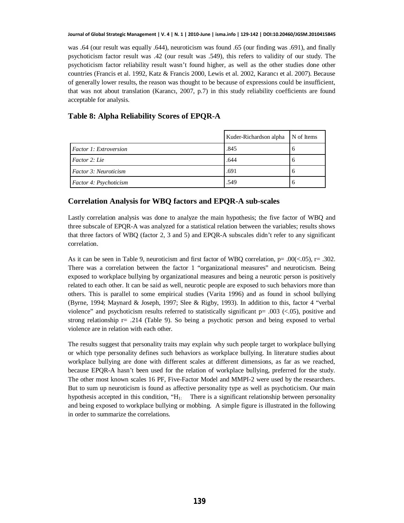was .64 (our result was equally .644), neuroticism was found .65 (our finding was .691), and finally psychoticism factor result was .42 (our result was .549), this refers to validity of our study. The psychoticism factor reliability result wasn't found higher, as well as the other studies done other countries (Francis et al. 1992, Katz & Francis 2000, Lewis et al. 2002, Karancı et al. 2007). Because of generally lower results, the reason was thought to be because of expressions could be insufficient, that was not about translation (Karancı, 2007, p.7) in this study reliability coefficients are found acceptable for analysis.

#### **Table 8: Alpha Reliability Scores of EPQR-A**

|                               | Kuder-Richardson alpha N of Items |   |
|-------------------------------|-----------------------------------|---|
| <b>Factor 1: Extroversion</b> | .845                              | n |
| Factor 2: Lie                 | .644                              |   |
| <i>Factor 3: Neuroticism</i>  | .691                              | n |
| Factor 4: Psychoticism        | .549                              |   |

#### **Correlation Analysis for WBQ factors and EPQR-A sub-scales**

Lastly correlation analysis was done to analyze the main hypothesis; the five factor of WBQ and three subscale of EPQR-A was analyzed for a statistical relation between the variables; results shows that three factors of WBQ (factor 2, 3 and 5) and EPQR-A subscales didn't refer to any significant correlation.

As it can be seen in Table 9, neuroticism and first factor of WBQ correlation,  $p = .00 \times .05$ ,  $r = .302$ . There was a correlation between the factor 1 "organizational measures" and neuroticism. Being exposed to workplace bullying by organizational measures and being a neurotic person is positively related to each other. It can be said as well, neurotic people are exposed to such behaviors more than others. This is parallel to some empirical studies (Varita 1996) and as found in school bullying (Byrne, 1994; Maynard & Joseph, 1997; Slee & Rigby, 1993). In addition to this, factor 4 "verbal violence" and psychoticism results referred to statistically significant  $p = .003$  (<.05), positive and strong relationship  $r=$  .214 (Table 9). So being a psychotic person and being exposed to verbal violence are in relation with each other.

The results suggest that personality traits may explain why such people target to workplace bullying or which type personality defines such behaviors as workplace bullying. In literature studies about workplace bullying are done with different scales at different dimensions, as far as we reached, because EPQR-A hasn't been used for the relation of workplace bullying, preferred for the study. The other most known scales 16 PF, Five-Factor Model and MMPI-2 were used by the researchers. But to sum up neuroticism is found as affective personality type as well as psychoticism. Our main hypothesis accepted in this condition, " $H<sub>1</sub>$ . There is a significant relationship between personality and being exposed to workplace bullying or mobbing. A simple figure is illustrated in the following in order to summarize the correlations.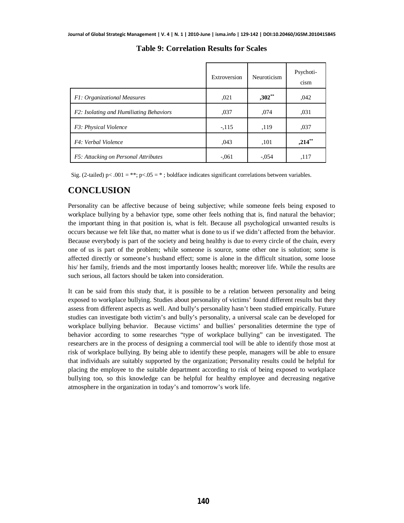|                                         | Extroversion | Neuroticism | Psychoti-<br>cism |
|-----------------------------------------|--------------|-------------|-------------------|
| F1: Organizational Measures             | ,021         | $,302$ **   | ,042              |
| F2: Isolating and Humiliating Behaviors | ,037         | .074        | .031              |
| F3: Physical Violence                   | $-.115$      | ,119        | ,037              |
| F4: Verbal Violence                     | ,043         | ,101        | $,214$ **         |
| F5: Attacking on Personal Attributes    | $-.061$      | $-.054$     | ,117              |

**Table 9: Correlation Results for Scales**

Sig. (2-tailed) p< .001 = \*\*; p<.05 = \*; boldface indicates significant correlations between variables.

### **CONCLUSION**

Personality can be affective because of being subjective; while someone feels being exposed to workplace bullying by a behavior type, some other feels nothing that is, find natural the behavior; the important thing in that position is, what is felt. Because all psychological unwanted results is occurs because we felt like that, no matter what is done to us if we didn't affected from the behavior. Because everybody is part of the society and being healthy is due to every circle of the chain, every one of us is part of the problem; while someone is source, some other one is solution; some is affected directly or someone's husband effect; some is alone in the difficult situation, some loose his/ her family, friends and the most importantly looses health; moreover life. While the results are such serious, all factors should be taken into consideration.

It can be said from this study that, it is possible to be a relation between personality and being exposed to workplace bullying. Studies about personality of victims' found different results but they assess from different aspects as well. And bully's personality hasn't been studied empirically. Future studies can investigate both victim's and bully's personality, a universal scale can be developed for workplace bullying behavior. Because victims' and bullies' personalities determine the type of behavior according to some researches "type of workplace bullying" can be investigated. The researchers are in the process of designing a commercial tool will be able to identify those most at risk of workplace bullying. By being able to identify these people, managers will be able to ensure that individuals are suitably supported by the organization; Personality results could be helpful for placing the employee to the suitable department according to risk of being exposed to workplace bullying too, so this knowledge can be helpful for healthy employee and decreasing negative atmosphere in the organization in today's and tomorrow's work life.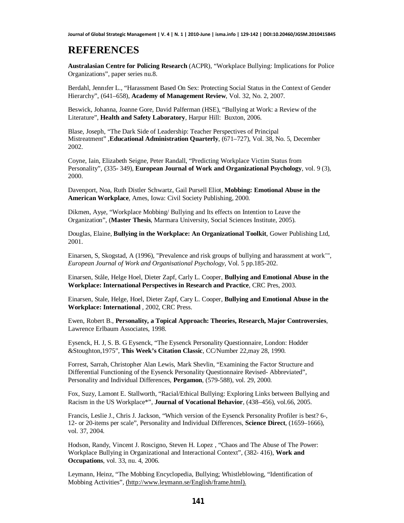### **REFERENCES**

**Australasian Centre for Policing Research** (ACPR), "Workplace Bullying: Implications for Police Organizations", paper series nu.8.

Berdahl, Jennifer L., "Harassment Based On Sex: Protecting Social Status in the Context of Gender Hierarchy", (641–658), **Academy of Management Review**, Vol. 32, No. 2, 2007.

Beswick, Johanna, Joanne Gore, David Palferman (HSE), "Bullying at Work: a Review of the Literature", **Health and Safety Laboratory**, Harpur Hill: Buxton, 2006.

Blase, Joseph, "The Dark Side of Leadership: Teacher Perspectives of Principal Mistreatment" ,**Educational Administration Quarterly**, (671–727), Vol. 38, No. 5, December 2002.

Coyne, Iain, Elizabeth Seigne, Peter Randall, "Predicting Workplace Victim Status from Personality", (335- 349), **European Journal of Work and Organizational Psychology**, vol. 9 (3), 2000.

Davenport, Noa, Ruth Distler Schwartz, Gail Pursell Eliot, **Mobbing: Emotional Abuse in the American Workplace**, Ames, Iowa: Civil Society Publishing, 2000.

Dikmen, Ayse, "Workplace Mobbing/ Bullying and Its effects on Intention to Leave the Organization", (**Master Thesis**, Marmara University, Social Sciences Institute, 2005).

Douglas, Elaine, **Bullying in the Workplace: An Organizational Toolkit**, Gower Publishing Ltd, 2001.

Einarsen, S, Skogstad, A (1996), "Prevalence and risk groups of bullying and harassment at work'", *European Journal of Work and Organisational Psychology*, Vol. 5 pp.185-202.

Einarsen, Ståle, Helge Hoel, Dieter Zapf, Carly L. Cooper, **Bullying and Emotional Abuse in the Workplace: International Perspectives in Research and Practice**, CRC Pres, 2003.

Einarsen, Stale, Helge, Hoel, Dieter Zapf, Cary L. Cooper, **Bullying and Emotional Abuse in the Workplace: International** , 2002, CRC Press.

Ewen, Robert B., **Personality, a Topical Approach: Theories, Research, Major Controversies**, Lawrence Erlbaum Associates, 1998.

Eysenck, H. J, S. B. G Eysenck, "The Eysenck Personality Questionnaire, London: Hodder &Stoughton,1975", **This Week's Citation Classic**, CC/Number 22,may 28, 1990.

Forrest, Sarrah, Christopher Alan Lewis, Mark Shevlin, "Examining the Factor Structure and Differential Functioning of the Eysenck Personality Questionnaire Revised- Abbreviated", Personality and Individual Differences, **Pergamon**, (579-588), vol. 29, 2000.

Fox, Suzy, Lamont E. Stallworth, "Racial/Ethical Bullying: Exploring Links between Bullying and Racism in the US Workplace\*", **Journal of Vocational Behavior**, (438–456), vol.66, 2005.

Francis, Leslie J., Chris J. Jackson, "Which version of the Eysenck Personality Profiler is best? 6-, 12- or 20-items per scale", Personality and Individual Differences, **Science Direct**, (1659–1666), vol. 37, 2004.

Hodson, Randy, Vincent J. Roscigno, Steven H. Lopez , "Chaos and The Abuse of The Power: Workplace Bullying in Organizational and Interactional Context", (382- 416), **Work and Occupations**, vol. 33, nu. 4, 2006.

Leymann, Heinz, "The Mobbing Encyclopedia, Bullying; Whistleblowing, "Identification of Mobbing Activities", ([http://www.leymann.se/English/frame.html\).](http://www.leymann.se/English/frame.html).)